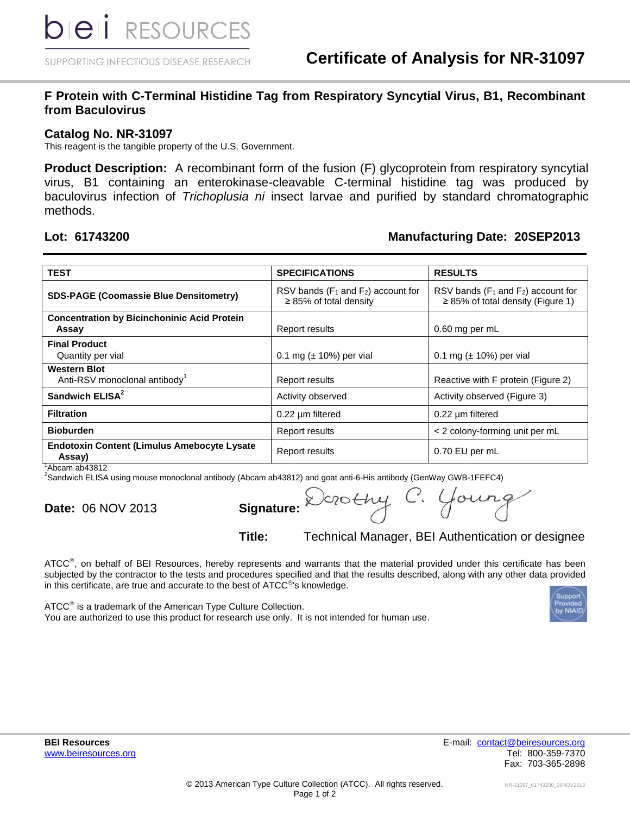SUPPORTING INFECTIOUS DISEASE RESEARCH

### **F Protein with C-Terminal Histidine Tag from Respiratory Syncytial Virus, B1, Recombinant from Baculovirus**

### **Catalog No. NR-31097**

This reagent is the tangible property of the U.S. Government.

**Product Description:** A recombinant form of the fusion (F) glycoprotein from respiratory syncytial virus, B1 containing an enterokinase-cleavable C-terminal histidine tag was produced by baculovirus infection of *Trichoplusia ni* insect larvae and purified by standard chromatographic methods.

## **Lot: 61743200 Manufacturing Date: 20SEP2013**

| <b>TEST</b>                                                      | <b>SPECIFICATIONS</b>                                                    | <b>RESULTS</b>                                                                      |
|------------------------------------------------------------------|--------------------------------------------------------------------------|-------------------------------------------------------------------------------------|
| <b>SDS-PAGE (Coomassie Blue Densitometry)</b>                    | RSV bands ( $F_1$ and $F_2$ ) account for<br>$\geq$ 85% of total density | RSV bands ( $F_1$ and $F_2$ ) account for<br>$\geq$ 85% of total density (Figure 1) |
| <b>Concentration by Bicinchoninic Acid Protein</b><br>Assay      | Report results                                                           | 0.60 mg per mL                                                                      |
| <b>Final Product</b><br>Quantity per vial                        | 0.1 mg ( $\pm$ 10%) per vial                                             | 0.1 mg $(\pm 10\%)$ per vial                                                        |
| <b>Western Blot</b><br>Anti-RSV monoclonal antibody <sup>1</sup> | <b>Report results</b>                                                    | Reactive with F protein (Figure 2)                                                  |
| Sandwich ELISA <sup>2</sup>                                      | Activity observed                                                        | Activity observed (Figure 3)                                                        |
| <b>Filtration</b>                                                | 0.22 um filtered                                                         | $0.22 \mu m$ filtered                                                               |
| <b>Bioburden</b>                                                 | <b>Report results</b>                                                    | < 2 colony-forming unit per mL                                                      |
| <b>Endotoxin Content (Limulus Amebocyte Lysate</b><br>Assay)     | Report results                                                           | 0.70 EU per mL                                                                      |

<sup>1</sup>Abcam ab43812

<sup>2</sup>Sandwich ELISA using mouse monoclonal antibody (Abcam ab43812) and goat anti-6-His antibody (GenWay GWB-1FEFC4)

| <b>Signature</b> |  |
|------------------|--|
|                  |  |

**Date:** 06 NOV 2013 **Signature:**

**Title:** Technical Manager, BEI Authentication or designee

ATCC<sup>®</sup>, on behalf of BEI Resources, hereby represents and warrants that the material provided under this certificate has been subjected by the contractor to the tests and procedures specified and that the results described, along with any other data provided in this certificate, are true and accurate to the best of  $\tt ATCC^@$ 's knowledge.

ATCC<sup>®</sup> is a trademark of the American Type Culture Collection. You are authorized to use this product for research use only. It is not intended for human use.